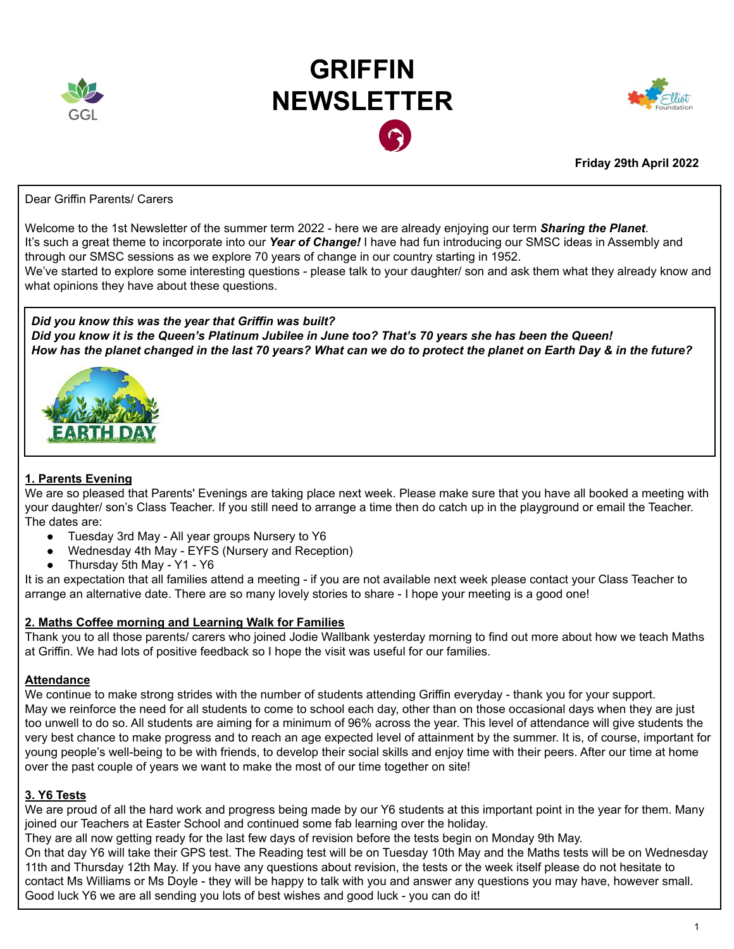

# **GRIFFIN NEWSLETTER**



**Friday 29th April 2022**

Dear Griffin Parents/ Carers

Welcome to the 1st Newsletter of the summer term 2022 - here we are already enjoying our term *Sharing the Planet*. It's such a great theme to incorporate into our *Year of Change!* I have had fun introducing our SMSC ideas in Assembly and through our SMSC sessions as we explore 70 years of change in our country starting in 1952.

We've started to explore some interesting questions - please talk to your daughter/ son and ask them what they already know and what opinions they have about these questions.

*Did you know this was the year that Griffin was built?* Did you know it is the Queen's Platinum Jubilee in June too? That's 70 years she has been the Queen! How has the planet changed in the last 70 years? What can we do to protect the planet on Earth Day & in the future?



## **1. Parents Evening**

We are so pleased that Parents' Evenings are taking place next week. Please make sure that you have all booked a meeting with your daughter/ son's Class Teacher. If you still need to arrange a time then do catch up in the playground or email the Teacher. The dates are:

- Tuesday 3rd May All year groups Nursery to Y6
- Wednesday 4th May EYFS (Nursery and Reception)
- Thursday 5th May Y1 Y6

It is an expectation that all families attend a meeting - if you are not available next week please contact your Class Teacher to arrange an alternative date. There are so many lovely stories to share - I hope your meeting is a good one!

## **2. Maths Coffee morning and Learning Walk for Families**

Thank you to all those parents/ carers who joined Jodie Wallbank yesterday morning to find out more about how we teach Maths at Griffin. We had lots of positive feedback so I hope the visit was useful for our families.

## **Attendance**

We continue to make strong strides with the number of students attending Griffin everyday - thank you for your support. May we reinforce the need for all students to come to school each day, other than on those occasional days when they are just too unwell to do so. All students are aiming for a minimum of 96% across the year. This level of attendance will give students the very best chance to make progress and to reach an age expected level of attainment by the summer. It is, of course, important for young people's well-being to be with friends, to develop their social skills and enjoy time with their peers. After our time at home over the past couple of years we want to make the most of our time together on site!

## **3. Y6 Tests**

We are proud of all the hard work and progress being made by our Y6 students at this important point in the year for them. Many joined our Teachers at Easter School and continued some fab learning over the holiday.

They are all now getting ready for the last few days of revision before the tests begin on Monday 9th May.

On that day Y6 will take their GPS test. The Reading test will be on Tuesday 10th May and the Maths tests will be on Wednesday 11th and Thursday 12th May. If you have any questions about revision, the tests or the week itself please do not hesitate to contact Ms Williams or Ms Doyle - they will be happy to talk with you and answer any questions you may have, however small. Good luck Y6 we are all sending you lots of best wishes and good luck - you can do it!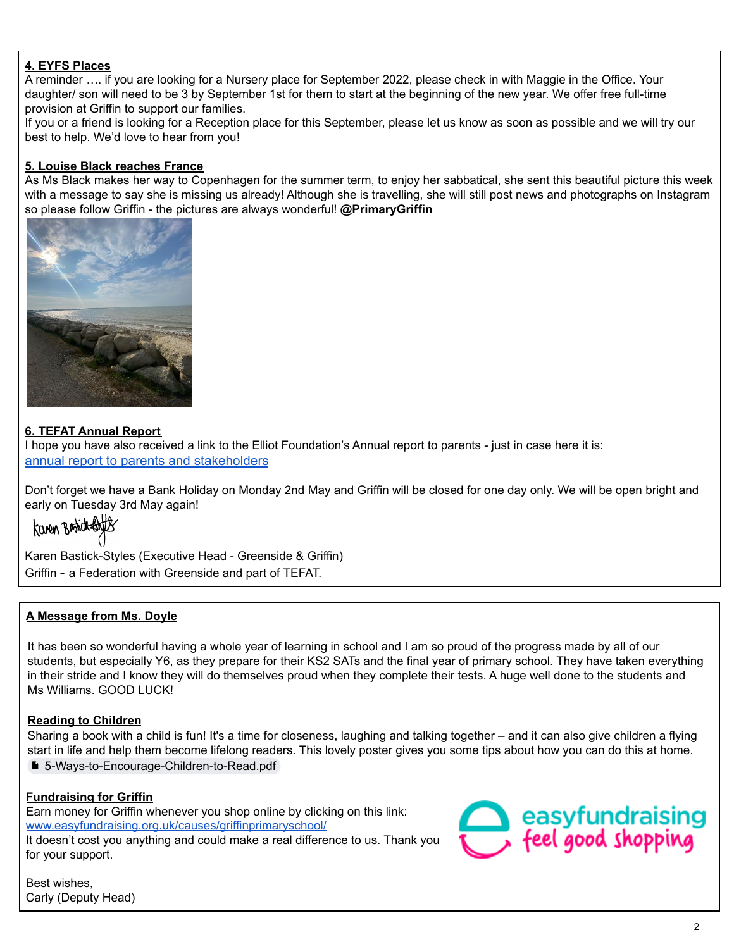## **4. EYFS Places**

A reminder …. if you are looking for a Nursery place for September 2022, please check in with Maggie in the Office. Your daughter/ son will need to be 3 by September 1st for them to start at the beginning of the new year. We offer free full-time provision at Griffin to support our families.

If you or a friend is looking for a Reception place for this September, please let us know as soon as possible and we will try our best to help. We'd love to hear from you!

#### **5. Louise Black reaches France**

As Ms Black makes her way to Copenhagen for the summer term, to enjoy her sabbatical, she sent this beautiful picture this week with a message to say she is missing us already! Although she is travelling, she will still post news and photographs on Instagram so please follow Griffin - the pictures are always wonderful! **@PrimaryGriffin**



#### **6. TEFAT Annual Report**

I hope you have also received a link to the Elliot Foundation's Annual report to parents - just in case here it is: annual report to parents and [stakeholders](https://d180ur4pf89izg.cloudfront.net/uploads/asset/attachment/5799/EF_Annual_report_2022__spreads_.pdf)

Don't forget we have a Bank Holiday on Monday 2nd May and Griffin will be closed for one day only. We will be open bright and early on Tuesday 3rd May again!<br> **Karen Braid-Sully** 

Karen Bastick-Styles (Executive Head - Greenside & Griffin) Griffin - a Federation with Greenside and part of TEFAT.

## **A Message from Ms. Doyle**

It has been so wonderful having a whole year of learning in school and I am so proud of the progress made by all of our students, but especially Y6, as they prepare for their KS2 SATs and the final year of primary school. They have taken everything in their stride and I know they will do themselves proud when they complete their tests. A huge well done to the students and Ms Williams. GOOD LUCK!

## **Reading to Children**

Sharing a book with a child is fun! It's a time for closeness, laughing and talking together – and it can also give children a flying start in life and help them become lifelong readers. This lovely poster gives you some tips about how you can do this at home. ■ [5-Ways-to-Encourage-Children-to-Read.pdf](https://drive.google.com/file/d/12Y2t0_cH5D2jBpnZXbVfU9T4tq2AhKPn/view?usp=sharing)

#### **Fundraising for Griffin**

Earn money for Griffin whenever you shop online by clicking on this link: [www.easyfundraising.org.uk/causes/griffinprimaryschool/](https://www.easyfundraising.org.uk/causes/griffinprimaryschool/) It doesn't cost you anything and could make a real difference to us. Thank you for your support.



Best wishes, Carly (Deputy Head)